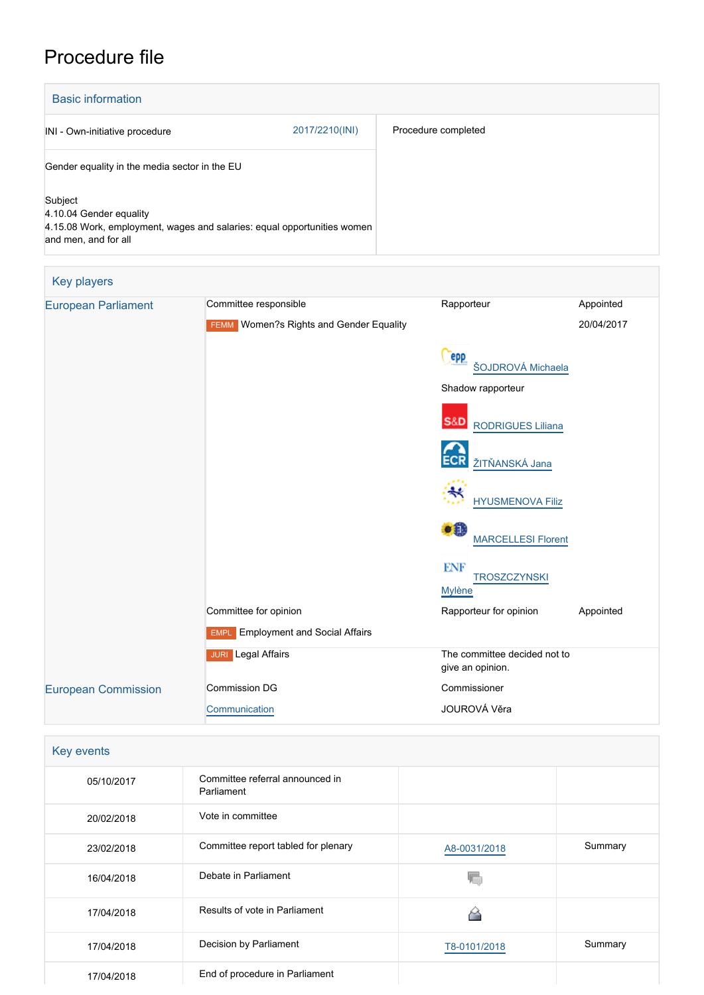## Procedure file

| <b>Basic information</b>                                                                                                              |                |                     |
|---------------------------------------------------------------------------------------------------------------------------------------|----------------|---------------------|
| INI - Own-initiative procedure                                                                                                        | 2017/2210(INI) | Procedure completed |
| Gender equality in the media sector in the EU                                                                                         |                |                     |
| Subject<br>4.10.04 Gender equality<br>4.15.08 Work, employment, wages and salaries: equal opportunities women<br>and men, and for all |                |                     |

| Key players                |                                                |                                                    |            |
|----------------------------|------------------------------------------------|----------------------------------------------------|------------|
| <b>European Parliament</b> | Committee responsible                          | Rapporteur                                         | Appointed  |
|                            | <b>FEMM</b> Women?s Rights and Gender Equality |                                                    | 20/04/2017 |
|                            |                                                | epp<br>ŠOJDROVÁ Michaela                           |            |
|                            |                                                | Shadow rapporteur                                  |            |
|                            |                                                | S&D RODRIGUES Liliana                              |            |
|                            |                                                | <b>ECR</b><br>ŽITŇANSKÁ Jana                       |            |
|                            |                                                | <b>HYUSMENOVA Filiz</b>                            |            |
|                            |                                                | ∙O<br><b>MARCELLESI Florent</b>                    |            |
|                            |                                                | <b>ENF</b><br><b>TROSZCZYNSKI</b><br><b>Mylène</b> |            |
|                            | Committee for opinion                          | Rapporteur for opinion                             | Appointed  |
|                            | <b>EMPL</b> Employment and Social Affairs      |                                                    |            |
|                            | <b>JURI</b> Legal Affairs                      | The committee decided not to<br>give an opinion.   |            |
| <b>European Commission</b> | <b>Commission DG</b>                           | Commissioner                                       |            |
|                            | Communication                                  | JOUROVÁ Věra                                       |            |

| <b>Key events</b> |  |  |  |
|-------------------|--|--|--|
| 05/10/2017        |  |  |  |
| 20/02/2018        |  |  |  |
| 23/02/2018        |  |  |  |

| 05/10/2017 | Committee referral announced in<br>Parliament |              |         |
|------------|-----------------------------------------------|--------------|---------|
| 20/02/2018 | Vote in committee                             |              |         |
| 23/02/2018 | Committee report tabled for plenary           | A8-0031/2018 | Summary |
| 16/04/2018 | Debate in Parliament                          |              |         |
| 17/04/2018 | Results of vote in Parliament                 | ◠            |         |
| 17/04/2018 | Decision by Parliament                        | T8-0101/2018 | Summary |
| 17/04/2018 | End of procedure in Parliament                |              |         |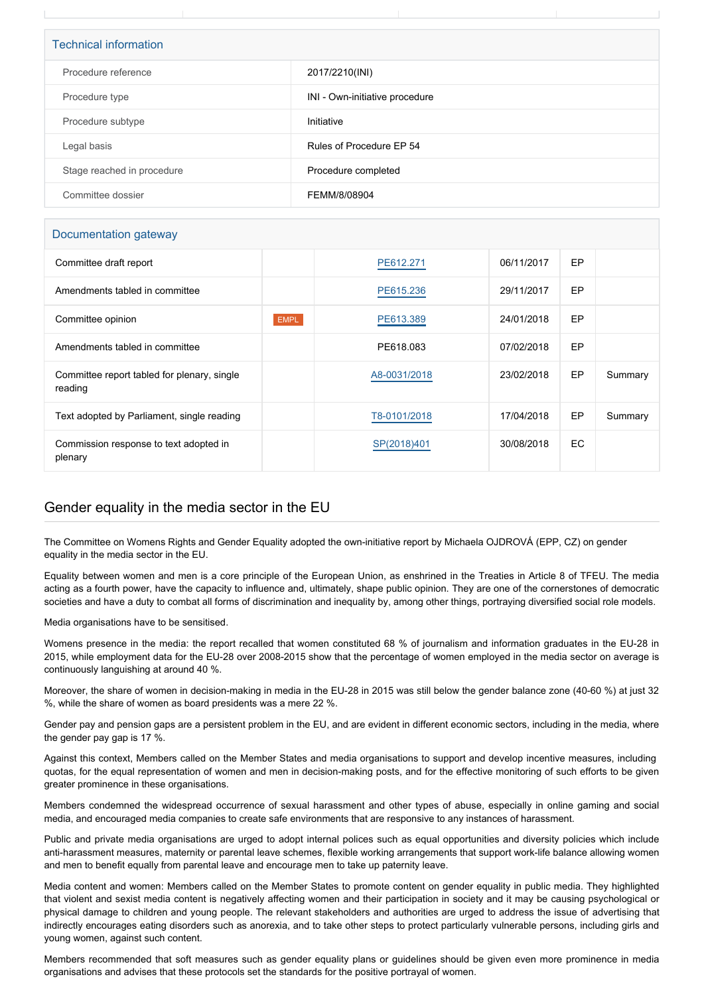| <b>Technical information</b> |                                |  |  |
|------------------------------|--------------------------------|--|--|
| Procedure reference          | 2017/2210(INI)                 |  |  |
| Procedure type               | INI - Own-initiative procedure |  |  |
| Procedure subtype            | Initiative                     |  |  |
| Legal basis                  | Rules of Procedure EP 54       |  |  |
| Stage reached in procedure   | Procedure completed            |  |  |
| Committee dossier            | FEMM/8/08904                   |  |  |

## Documentation gateway

| Committee draft report                                 |             | PE612.271    | 06/11/2017 | EP        |         |
|--------------------------------------------------------|-------------|--------------|------------|-----------|---------|
| Amendments tabled in committee                         |             | PE615.236    | 29/11/2017 | <b>EP</b> |         |
| Committee opinion                                      | <b>EMPL</b> | PE613.389    | 24/01/2018 | EP        |         |
| Amendments tabled in committee                         |             | PE618,083    | 07/02/2018 | <b>EP</b> |         |
| Committee report tabled for plenary, single<br>reading |             | A8-0031/2018 | 23/02/2018 | <b>EP</b> | Summary |
| Text adopted by Parliament, single reading             |             | T8-0101/2018 | 17/04/2018 | EP        | Summary |
| Commission response to text adopted in<br>plenary      |             | SP(2018)401  | 30/08/2018 | EC        |         |

## Gender equality in the media sector in the EU

The Committee on Womens Rights and Gender Equality adopted the own-initiative report by Michaela OJDROVÁ (EPP, CZ) on gender equality in the media sector in the EU.

Equality between women and men is a core principle of the European Union, as enshrined in the Treaties in Article 8 of TFEU. The media acting as a fourth power, have the capacity to influence and, ultimately, shape public opinion. They are one of the cornerstones of democratic societies and have a duty to combat all forms of discrimination and inequality by, among other things, portraying diversified social role models.

Media organisations have to be sensitised.

Womens presence in the media: the report recalled that women constituted 68 % of journalism and information graduates in the EU-28 in 2015, while employment data for the EU-28 over 2008-2015 show that the percentage of women employed in the media sector on average is continuously languishing at around 40 %.

Moreover, the share of women in decision-making in media in the EU-28 in 2015 was still below the gender balance zone (40-60 %) at just 32 %, while the share of women as board presidents was a mere 22 %.

Gender pay and pension gaps are a persistent problem in the EU, and are evident in different economic sectors, including in the media, where the gender pay gap is 17 %.

Against this context, Members called on the Member States and media organisations to support and develop incentive measures, including quotas, for the equal representation of women and men in decision-making posts, and for the effective monitoring of such efforts to be given greater prominence in these organisations.

Members condemned the widespread occurrence of sexual harassment and other types of abuse, especially in online gaming and social media, and encouraged media companies to create safe environments that are responsive to any instances of harassment.

Public and private media organisations are urged to adopt internal polices such as equal opportunities and diversity policies which include anti-harassment measures, maternity or parental leave schemes, flexible working arrangements that support work-life balance allowing women and men to benefit equally from parental leave and encourage men to take up paternity leave.

Media content and women: Members called on the Member States to promote content on gender equality in public media. They highlighted that violent and sexist media content is negatively affecting women and their participation in society and it may be causing psychological or physical damage to children and young people. The relevant stakeholders and authorities are urged to address the issue of advertising that indirectly encourages eating disorders such as anorexia, and to take other steps to protect particularly vulnerable persons, including girls and young women, against such content.

Members recommended that soft measures such as gender equality plans or guidelines should be given even more prominence in media organisations and advises that these protocols set the standards for the positive portrayal of women.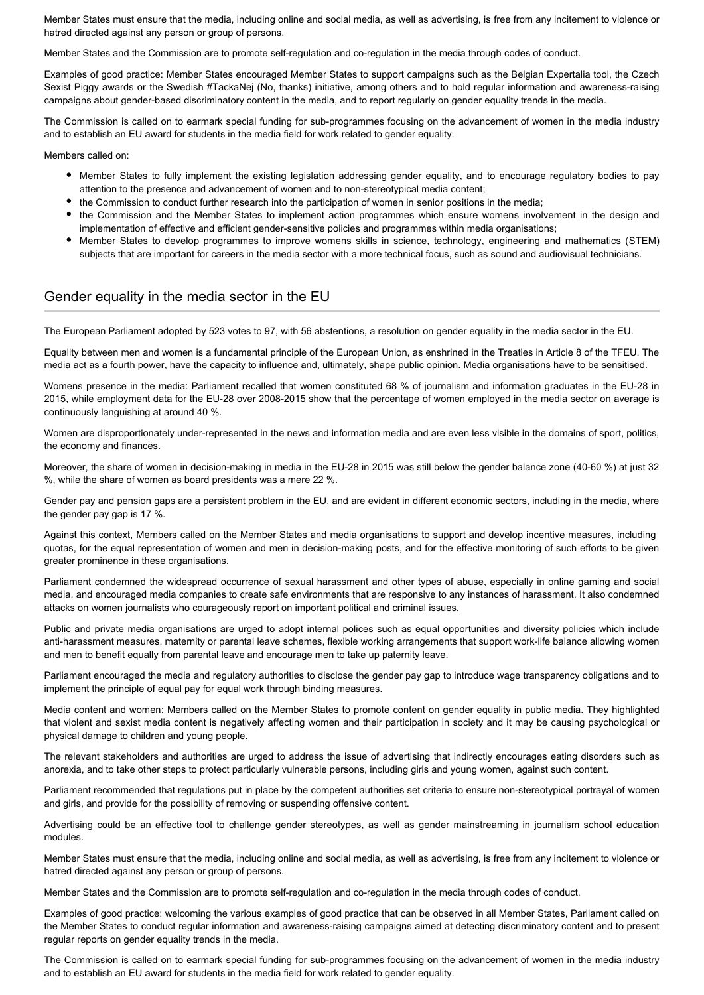Member States must ensure that the media, including online and social media, as well as advertising, is free from any incitement to violence or hatred directed against any person or group of persons.

Member States and the Commission are to promote self-regulation and co-regulation in the media through codes of conduct.

Examples of good practice: Member States encouraged Member States to support campaigns such as the Belgian Expertalia tool, the Czech Sexist Piggy awards or the Swedish #TackaNej (No, thanks) initiative, among others and to hold regular information and awareness-raising campaigns about gender-based discriminatory content in the media, and to report regularly on gender equality trends in the media.

The Commission is called on to earmark special funding for sub-programmes focusing on the advancement of women in the media industry and to establish an EU award for students in the media field for work related to gender equality.

Members called on:

- Member States to fully implement the existing legislation addressing gender equality, and to encourage regulatory bodies to pay attention to the presence and advancement of women and to non-stereotypical media content;
- the Commission to conduct further research into the participation of women in senior positions in the media;
- the Commission and the Member States to implement action programmes which ensure womens involvement in the design and implementation of effective and efficient gender-sensitive policies and programmes within media organisations;
- Member States to develop programmes to improve womens skills in science, technology, engineering and mathematics (STEM) subjects that are important for careers in the media sector with a more technical focus, such as sound and audiovisual technicians.

## Gender equality in the media sector in the EU

The European Parliament adopted by 523 votes to 97, with 56 abstentions, a resolution on gender equality in the media sector in the EU.

Equality between men and women is a fundamental principle of the European Union, as enshrined in the Treaties in Article 8 of the TFEU. The media act as a fourth power, have the capacity to influence and, ultimately, shape public opinion. Media organisations have to be sensitised.

Womens presence in the media: Parliament recalled that women constituted 68 % of journalism and information graduates in the EU-28 in 2015, while employment data for the EU-28 over 2008-2015 show that the percentage of women employed in the media sector on average is continuously languishing at around 40 %.

Women are disproportionately under-represented in the news and information media and are even less visible in the domains of sport, politics, the economy and finances.

Moreover, the share of women in decision-making in media in the EU-28 in 2015 was still below the gender balance zone (40-60 %) at just 32 %, while the share of women as board presidents was a mere 22 %.

Gender pay and pension gaps are a persistent problem in the EU, and are evident in different economic sectors, including in the media, where the gender pay gap is 17 %.

Against this context, Members called on the Member States and media organisations to support and develop incentive measures, including quotas, for the equal representation of women and men in decision-making posts, and for the effective monitoring of such efforts to be given greater prominence in these organisations.

Parliament condemned the widespread occurrence of sexual harassment and other types of abuse, especially in online gaming and social media, and encouraged media companies to create safe environments that are responsive to any instances of harassment. It also condemned attacks on women journalists who courageously report on important political and criminal issues.

Public and private media organisations are urged to adopt internal polices such as equal opportunities and diversity policies which include anti-harassment measures, maternity or parental leave schemes, flexible working arrangements that support work-life balance allowing women and men to benefit equally from parental leave and encourage men to take up paternity leave.

Parliament encouraged the media and regulatory authorities to disclose the gender pay gap to introduce wage transparency obligations and to implement the principle of equal pay for equal work through binding measures.

Media content and women: Members called on the Member States to promote content on gender equality in public media. They highlighted that violent and sexist media content is negatively affecting women and their participation in society and it may be causing psychological or physical damage to children and young people.

The relevant stakeholders and authorities are urged to address the issue of advertising that indirectly encourages eating disorders such as anorexia, and to take other steps to protect particularly vulnerable persons, including girls and young women, against such content.

Parliament recommended that regulations put in place by the competent authorities set criteria to ensure non-stereotypical portrayal of women and girls, and provide for the possibility of removing or suspending offensive content.

Advertising could be an effective tool to challenge gender stereotypes, as well as gender mainstreaming in journalism school education modules.

Member States must ensure that the media, including online and social media, as well as advertising, is free from any incitement to violence or hatred directed against any person or group of persons.

Member States and the Commission are to promote self-regulation and co-regulation in the media through codes of conduct.

Examples of good practice: welcoming the various examples of good practice that can be observed in all Member States, Parliament called on the Member States to conduct regular information and awareness-raising campaigns aimed at detecting discriminatory content and to present regular reports on gender equality trends in the media.

The Commission is called on to earmark special funding for sub-programmes focusing on the advancement of women in the media industry and to establish an EU award for students in the media field for work related to gender equality.